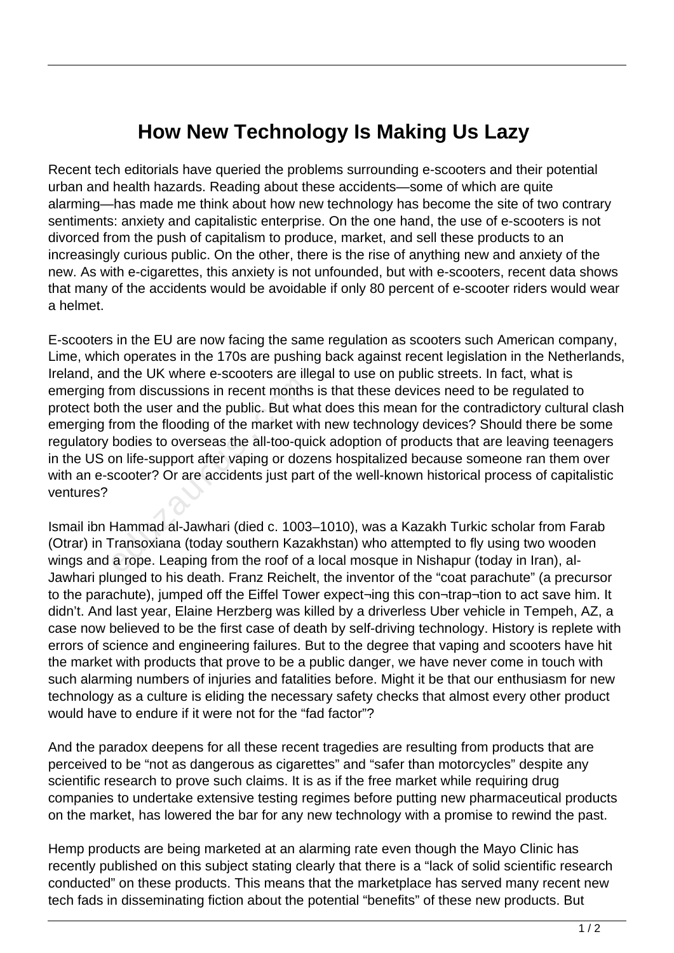## **How New Technology Is Making Us Lazy**

Recent tech editorials have queried the problems surrounding e-scooters and their potential urban and health hazards. Reading about these accidents—some of which are quite alarming—has made me think about how new technology has become the site of two contrary sentiments: anxiety and capitalistic enterprise. On the one hand, the use of e-scooters is not divorced from the push of capitalism to produce, market, and sell these products to an increasingly curious public. On the other, there is the rise of anything new and anxiety of the new. As with e-cigarettes, this anxiety is not unfounded, but with e-scooters, recent data shows that many of the accidents would be avoidable if only 80 percent of e-scooter riders would wear a helmet.

E-scooters in the EU are now facing the same regulation as scooters such American company, Lime, which operates in the 170s are pushing back against recent legislation in the Netherlands, Ireland, and the UK where e-scooters are illegal to use on public streets. In fact, what is emerging from discussions in recent months is that these devices need to be regulated to protect both the user and the public. But what does this mean for the contradictory cultural clash emerging from the flooding of the market with new technology devices? Should there be some regulatory bodies to overseas the all-too-quick adoption of products that are leaving teenagers in the US on life-support after vaping or dozens hospitalized because someone ran them over with an e-scooter? Or are accidents just part of the well-known historical process of capitalistic ventures? From discussions in recent months<br>th the user and the public. But what<br>from the flooding of the market wit<br>bodies to overseas the all-too-qui<br>on life-support after vaping or doze<br>scooter? Or are accidents just part<br>scooter

Ismail ibn Hammad al-Jawhari (died c. 1003–1010), was a Kazakh Turkic scholar from Farab (Otrar) in Transoxiana (today southern Kazakhstan) who attempted to fly using two wooden wings and a rope. Leaping from the roof of a local mosque in Nishapur (today in Iran), al-Jawhari plunged to his death. Franz Reichelt, the inventor of the "coat parachute" (a precursor to the parachute), jumped off the Eiffel Tower expect¬ing this con¬trap¬tion to act save him. It didn't. And last year, Elaine Herzberg was killed by a driverless Uber vehicle in Tempeh, AZ, a case now believed to be the first case of death by self-driving technology. History is replete with errors of science and engineering failures. But to the degree that vaping and scooters have hit the market with products that prove to be a public danger, we have never come in touch with such alarming numbers of injuries and fatalities before. Might it be that our enthusiasm for new technology as a culture is eliding the necessary safety checks that almost every other product would have to endure if it were not for the "fad factor"?

And the paradox deepens for all these recent tragedies are resulting from products that are perceived to be "not as dangerous as cigarettes" and "safer than motorcycles" despite any scientific research to prove such claims. It is as if the free market while requiring drug companies to undertake extensive testing regimes before putting new pharmaceutical products on the market, has lowered the bar for any new technology with a promise to rewind the past.

Hemp products are being marketed at an alarming rate even though the Mayo Clinic has recently published on this subject stating clearly that there is a "lack of solid scientific research conducted" on these products. This means that the marketplace has served many recent new tech fads in disseminating fiction about the potential "benefits" of these new products. But